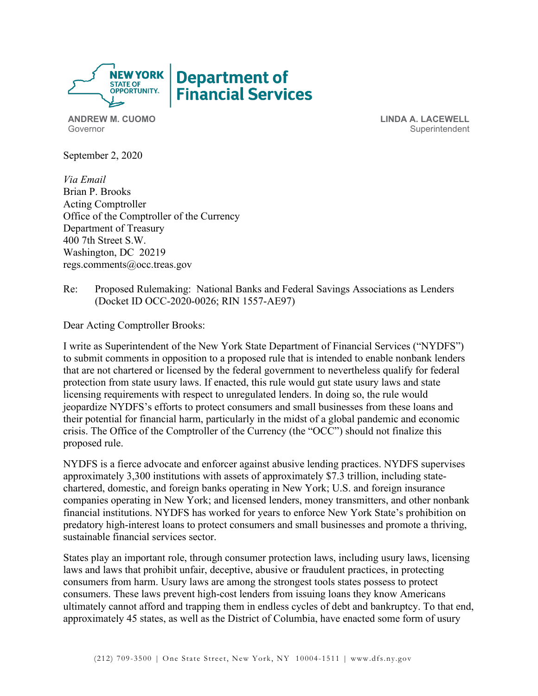

**ANDREW M. CUOMO** Governor

**LINDA A. LACEWELL Superintendent** 

September 2, 2020

*Via Email* Brian P. Brooks Acting Comptroller Office of the Comptroller of the Currency Department of Treasury 400 7th Street S.W. Washington, DC 20219 regs.comments@occ.treas.gov

Re: Proposed Rulemaking: National Banks and Federal Savings Associations as Lenders (Docket ID OCC-2020-0026; RIN 1557-AE97)

Dear Acting Comptroller Brooks:

I write as Superintendent of the New York State Department of Financial Services ("NYDFS") to submit comments in opposition to a proposed rule that is intended to enable nonbank lenders that are not chartered or licensed by the federal government to nevertheless qualify for federal protection from state usury laws. If enacted, this rule would gut state usury laws and state licensing requirements with respect to unregulated lenders. In doing so, the rule would jeopardize NYDFS's efforts to protect consumers and small businesses from these loans and their potential for financial harm, particularly in the midst of a global pandemic and economic crisis. The Office of the Comptroller of the Currency (the "OCC") should not finalize this proposed rule.

NYDFS is a fierce advocate and enforcer against abusive lending practices. NYDFS supervises approximately 3,300 institutions with assets of approximately \$7.3 trillion, including statechartered, domestic, and foreign banks operating in New York; U.S. and foreign insurance companies operating in New York; and licensed lenders, money transmitters, and other nonbank financial institutions. NYDFS has worked for years to enforce New York State's prohibition on predatory high-interest loans to protect consumers and small businesses and promote a thriving, sustainable financial services sector.

States play an important role, through consumer protection laws, including usury laws, licensing laws and laws that prohibit unfair, deceptive, abusive or fraudulent practices, in protecting consumers from harm. Usury laws are among the strongest tools states possess to protect consumers. These laws prevent high-cost lenders from issuing loans they know Americans ultimately cannot afford and trapping them in endless cycles of debt and bankruptcy. To that end, approximately 45 states, as well as the District of Columbia, have enacted some form of usury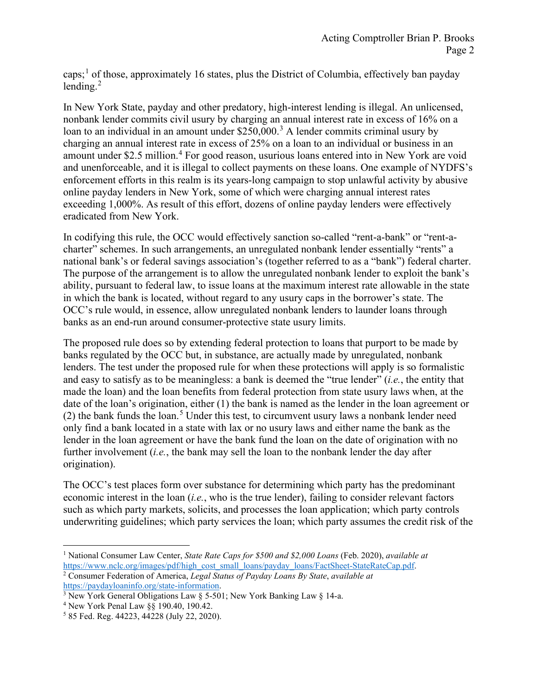caps; [1](#page-1-0) of those, approximately 16 states, plus the District of Columbia, effectively ban payday lending. [2](#page-1-1)

In New York State, payday and other predatory, high-interest lending is illegal. An unlicensed, nonbank lender commits civil usury by charging an annual interest rate in excess of 16% on a loan to an individual in an amount under  $$250,000$ <sup>[3](#page-1-2)</sup> A lender commits criminal usury by charging an annual interest rate in excess of 25% on a loan to an individual or business in an amount under \$2.5 million.<sup>[4](#page-1-3)</sup> For good reason, usurious loans entered into in New York are void and unenforceable, and it is illegal to collect payments on these loans. One example of NYDFS's enforcement efforts in this realm is its years-long campaign to stop unlawful activity by abusive online payday lenders in New York, some of which were charging annual interest rates exceeding 1,000%. As result of this effort, dozens of online payday lenders were effectively eradicated from New York.

In codifying this rule, the OCC would effectively sanction so-called "rent-a-bank" or "rent-acharter" schemes. In such arrangements, an unregulated nonbank lender essentially "rents" a national bank's or federal savings association's (together referred to as a "bank") federal charter. The purpose of the arrangement is to allow the unregulated nonbank lender to exploit the bank's ability, pursuant to federal law, to issue loans at the maximum interest rate allowable in the state in which the bank is located, without regard to any usury caps in the borrower's state. The OCC's rule would, in essence, allow unregulated nonbank lenders to launder loans through banks as an end-run around consumer-protective state usury limits.

The proposed rule does so by extending federal protection to loans that purport to be made by banks regulated by the OCC but, in substance, are actually made by unregulated, nonbank lenders. The test under the proposed rule for when these protections will apply is so formalistic and easy to satisfy as to be meaningless: a bank is deemed the "true lender" (*i.e.*, the entity that made the loan) and the loan benefits from federal protection from state usury laws when, at the date of the loan's origination, either (1) the bank is named as the lender in the loan agreement or (2) the bank funds the loan. [5](#page-1-4) Under this test, to circumvent usury laws a nonbank lender need only find a bank located in a state with lax or no usury laws and either name the bank as the lender in the loan agreement or have the bank fund the loan on the date of origination with no further involvement (*i.e.*, the bank may sell the loan to the nonbank lender the day after origination).

The OCC's test places form over substance for determining which party has the predominant economic interest in the loan (*i.e.*, who is the true lender), failing to consider relevant factors such as which party markets, solicits, and processes the loan application; which party controls underwriting guidelines; which party services the loan; which party assumes the credit risk of the

<span id="page-1-0"></span><sup>1</sup> National Consumer Law Center, *State Rate Caps for \$500 and \$2,000 Loans* (Feb. 2020), *available at* [https://www.nclc.org/images/pdf/high\\_cost\\_small\\_loans/payday\\_loans/FactSheet-StateRateCap.pdf.](https://www.nclc.org/images/pdf/high_cost_small_loans/payday_loans/FactSheet-StateRateCap.pdf) <sup>2</sup> Consumer Federation of America, *Legal Status of Payday Loans By State*, *available at*

<span id="page-1-1"></span>[https://paydayloaninfo.org/state-information.](https://paydayloaninfo.org/state-information) <sup>3</sup> New York General Obligations Law  $\S$  5-501; New York Banking Law  $\S$  14-a.

<span id="page-1-3"></span><span id="page-1-2"></span><sup>4</sup> New York Penal Law §§ 190.40, 190.42.

<span id="page-1-4"></span><sup>5</sup> 85 Fed. Reg. 44223, 44228 (July 22, 2020).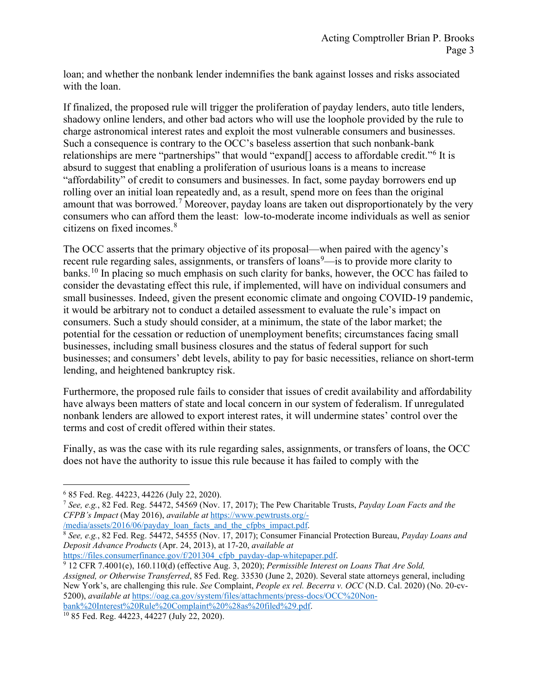loan; and whether the nonbank lender indemnifies the bank against losses and risks associated with the loan.

If finalized, the proposed rule will trigger the proliferation of payday lenders, auto title lenders, shadowy online lenders, and other bad actors who will use the loophole provided by the rule to charge astronomical interest rates and exploit the most vulnerable consumers and businesses. Such a consequence is contrary to the OCC's baseless assertion that such nonbank-bank relationships are mere "partnerships" that would "expand[] access to affordable credit."[6](#page-2-0) It is absurd to suggest that enabling a proliferation of usurious loans is a means to increase "affordability" of credit to consumers and businesses. In fact, some payday borrowers end up rolling over an initial loan repeatedly and, as a result, spend more on fees than the original amount that was borrowed.<sup>[7](#page-2-1)</sup> Moreover, payday loans are taken out disproportionately by the very consumers who can afford them the least: low-to-moderate income individuals as well as senior citizens on fixed incomes.[8](#page-2-2)

The OCC asserts that the primary objective of its proposal—when paired with the agency's recent rule regarding sales, assignments, or transfers of loans<sup>[9](#page-2-3)</sup>—is to provide more clarity to banks.<sup>[10](#page-2-4)</sup> In placing so much emphasis on such clarity for banks, however, the OCC has failed to consider the devastating effect this rule, if implemented, will have on individual consumers and small businesses. Indeed, given the present economic climate and ongoing COVID-19 pandemic, it would be arbitrary not to conduct a detailed assessment to evaluate the rule's impact on consumers. Such a study should consider, at a minimum, the state of the labor market; the potential for the cessation or reduction of unemployment benefits; circumstances facing small businesses, including small business closures and the status of federal support for such businesses; and consumers' debt levels, ability to pay for basic necessities, reliance on short-term lending, and heightened bankruptcy risk.

Furthermore, the proposed rule fails to consider that issues of credit availability and affordability have always been matters of state and local concern in our system of federalism. If unregulated nonbank lenders are allowed to export interest rates, it will undermine states' control over the terms and cost of credit offered within their states.

Finally, as was the case with its rule regarding sales, assignments, or transfers of loans, the OCC does not have the authority to issue this rule because it has failed to comply with the

[/media/assets/2016/06/payday\\_loan\\_facts\\_and\\_the\\_cfpbs\\_impact.pdf.](https://www.pewtrusts.org/-/media/assets/2016/06/payday_loan_facts_and_the_cfpbs_impact.pdf)

<span id="page-2-3"></span>[https://files.consumerfinance.gov/f/201304\\_cfpb\\_payday-dap-whitepaper.pdf.](https://files.consumerfinance.gov/f/201304_cfpb_payday-dap-whitepaper.pdf) 9 12 CFR 7.4001(e), 160.110(d) (effective Aug. 3, 2020); *Permissible Interest on Loans That Are Sold, Assigned, or Otherwise Transferred*, 85 Fed. Reg. 33530 (June 2, 2020). Several state attorneys general, including New York's, are challenging this rule. *See* Complaint, *People ex rel. Becerra v. OCC* (N.D. Cal. 2020) (No. 20-cv-5200), *available at* [https://oag.ca.gov/system/files/attachments/press-docs/OCC%20Non](https://oag.ca.gov/system/files/attachments/press-docs/OCC%20Non-bank%20Interest%20Rule%20Complaint%20%28as%20filed%29.pdf)[bank%20Interest%20Rule%20Complaint%20%28as%20filed%29.pdf.](https://oag.ca.gov/system/files/attachments/press-docs/OCC%20Non-bank%20Interest%20Rule%20Complaint%20%28as%20filed%29.pdf)

<span id="page-2-0"></span><sup>6</sup> 85 Fed. Reg. 44223, 44226 (July 22, 2020).

<span id="page-2-1"></span><sup>7</sup> *See, e.g.*, 82 Fed. Reg. 54472, 54569 (Nov. 17, 2017); The Pew Charitable Trusts, *Payday Loan Facts and the CFPB's Impact* (May 2016), *available at* [https://www.pewtrusts.org/-](https://www.pewtrusts.org/-/media/assets/2016/06/payday_loan_facts_and_the_cfpbs_impact.pdf)

<span id="page-2-2"></span><sup>8</sup> *See, e.g.*, 82 Fed. Reg. 54472, 54555 (Nov. 17, 2017); Consumer Financial Protection Bureau, *Payday Loans and Deposit Advance Products* (Apr. 24, 2013), at 17-20, *available at*

<span id="page-2-4"></span><sup>10</sup> 85 Fed. Reg. 44223, 44227 (July 22, 2020).